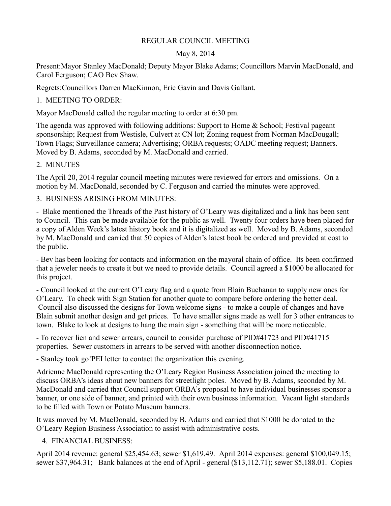#### REGULAR COUNCIL MEETING

#### May 8, 2014

Present:Mayor Stanley MacDonald; Deputy Mayor Blake Adams; Councillors Marvin MacDonald, and Carol Ferguson; CAO Bev Shaw.

Regrets:Councillors Darren MacKinnon, Eric Gavin and Davis Gallant.

## 1. MEETING TO ORDER:

Mayor MacDonald called the regular meeting to order at 6:30 pm.

The agenda was approved with following additions: Support to Home & School; Festival pageant sponsorship; Request from Westisle, Culvert at CN lot; Zoning request from Norman MacDougall; Town Flags; Surveillance camera; Advertising; ORBA requests; OADC meeting request; Banners. Moved by B. Adams, seconded by M. MacDonald and carried.

2. MINUTES

The April 20, 2014 regular council meeting minutes were reviewed for errors and omissions. On a motion by M. MacDonald, seconded by C. Ferguson and carried the minutes were approved.

3. BUSINESS ARISING FROM MINUTES:

- Blake mentioned the Threads of the Past history of O'Leary was digitalized and a link has been sent to Council. This can be made available for the public as well. Twenty four orders have been placed for a copy of Alden Week's latest history book and it is digitalized as well. Moved by B. Adams, seconded by M. MacDonald and carried that 50 copies of Alden's latest book be ordered and provided at cost to the public.

- Bev has been looking for contacts and information on the mayoral chain of office. Its been confirmed that a jeweler needs to create it but we need to provide details. Council agreed a \$1000 be allocated for this project.

- Council looked at the current O'Leary flag and a quote from Blain Buchanan to supply new ones for O'Leary. To check with Sign Station for another quote to compare before ordering the better deal. Council also discussed the designs for Town welcome signs - to make a couple of changes and have Blain submit another design and get prices. To have smaller signs made as well for 3 other entrances to town. Blake to look at designs to hang the main sign - something that will be more noticeable.

- To recover lien and sewer arrears, council to consider purchase of PID#41723 and PID#41715 properties. Sewer customers in arrears to be served with another disconnection notice.

- Stanley took go!PEI letter to contact the organization this evening.

Adrienne MacDonald representing the O'Leary Region Business Association joined the meeting to discuss ORBA's ideas about new banners for streetlight poles. Moved by B. Adams, seconded by M. MacDonald and carried that Council support ORBA's proposal to have individual businesses sponsor a banner, or one side of banner, and printed with their own business information. Vacant light standards to be filled with Town or Potato Museum banners.

It was moved by M. MacDonald, seconded by B. Adams and carried that \$1000 be donated to the O'Leary Region Business Association to assist with administrative costs.

4. FINANCIAL BUSINESS:

April 2014 revenue: general \$25,454.63; sewer \$1,619.49. April 2014 expenses: general \$100,049.15; sewer \$37,964.31; Bank balances at the end of April - general (\$13,112.71); sewer \$5,188.01. Copies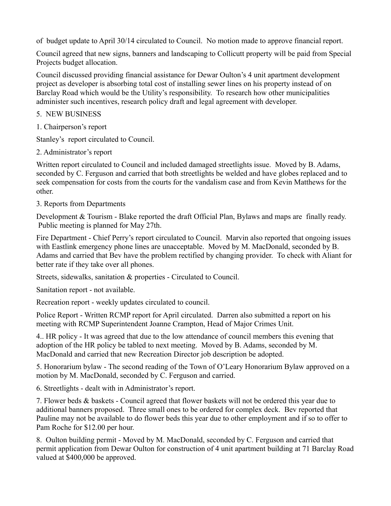of budget update to April 30/14 circulated to Council. No motion made to approve financial report.

Council agreed that new signs, banners and landscaping to Collicutt property will be paid from Special Projects budget allocation.

Council discussed providing financial assistance for Dewar Oulton's 4 unit apartment development project as developer is absorbing total cost of installing sewer lines on his property instead of on Barclay Road which would be the Utility's responsibility. To research how other municipalities administer such incentives, research policy draft and legal agreement with developer.

### 5. NEW BUSINESS

1. Chairperson's report

Stanley's report circulated to Council.

2. Administrator's report

Written report circulated to Council and included damaged streetlights issue. Moved by B. Adams, seconded by C. Ferguson and carried that both streetlights be welded and have globes replaced and to seek compensation for costs from the courts for the vandalism case and from Kevin Matthews for the other.

## 3. Reports from Departments

Development & Tourism - Blake reported the draft Official Plan, Bylaws and maps are finally ready. Public meeting is planned for May 27th.

Fire Department - Chief Perry's report circulated to Council. Marvin also reported that ongoing issues with Eastlink emergency phone lines are unacceptable. Moved by M. MacDonald, seconded by B. Adams and carried that Bev have the problem rectified by changing provider. To check with Aliant for better rate if they take over all phones.

Streets, sidewalks, sanitation & properties - Circulated to Council.

Sanitation report - not available.

Recreation report - weekly updates circulated to council.

Police Report - Written RCMP report for April circulated. Darren also submitted a report on his meeting with RCMP Superintendent Joanne Crampton, Head of Major Crimes Unit.

4.. HR policy - It was agreed that due to the low attendance of council members this evening that adoption of the HR policy be tabled to next meeting. Moved by B. Adams, seconded by M. MacDonald and carried that new Recreation Director job description be adopted.

5. Honorarium bylaw - The second reading of the Town of O'Leary Honorarium Bylaw approved on a motion by M. MacDonald, seconded by C. Ferguson and carried.

6. Streetlights - dealt with in Administrator's report.

7. Flower beds & baskets - Council agreed that flower baskets will not be ordered this year due to additional banners proposed. Three small ones to be ordered for complex deck. Bev reported that Pauline may not be available to do flower beds this year due to other employment and if so to offer to Pam Roche for \$12.00 per hour.

8. Oulton building permit - Moved by M. MacDonald, seconded by C. Ferguson and carried that permit application from Dewar Oulton for construction of 4 unit apartment building at 71 Barclay Road valued at \$400,000 be approved.